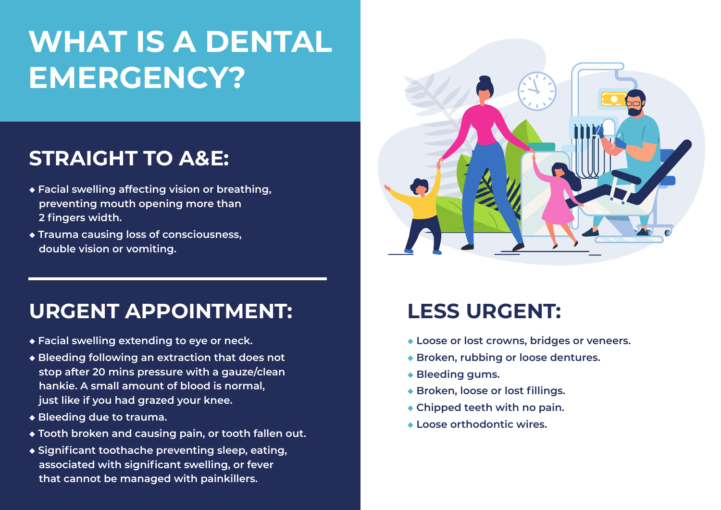# **WHAT IS A DENTAL EMERGENCY?**

### **STRAIGHT TO A&E:**

- **◆ Facial swelling affecting vision or breathing, preventing mouth opening more than 2 fingers width.**
- **◆ Trauma causing loss of consciousness, double vision or vomiting.**

#### **URGENT APPOINTMENT:**

- **◆ Facial swelling extending to eye or neck.**
- **◆ Bleeding following an extraction that does not stop after 20 mins pressure with a gauze/clean hankie. A small amount of blood is normal, just like if you had grazed your knee.**
- **◆ Bleeding due to trauma.**
- **◆ Tooth broken and causing pain, or tooth fallen out.**
- **◆ Significant toothache preventing sleep, eating, associated with significant swelling, or fever that cannot be managed with painkillers.**



## **LESS URGENT:**

- **◆ Loose or lost crowns, bridges or veneers.**
- **◆ Broken, rubbing or loose dentures.**
- **◆ Bleeding gums.**
- **◆ Broken, loose or lost fillings.**
- **◆ Chipped teeth with no pain.**
- **◆ Loose orthodontic wires.**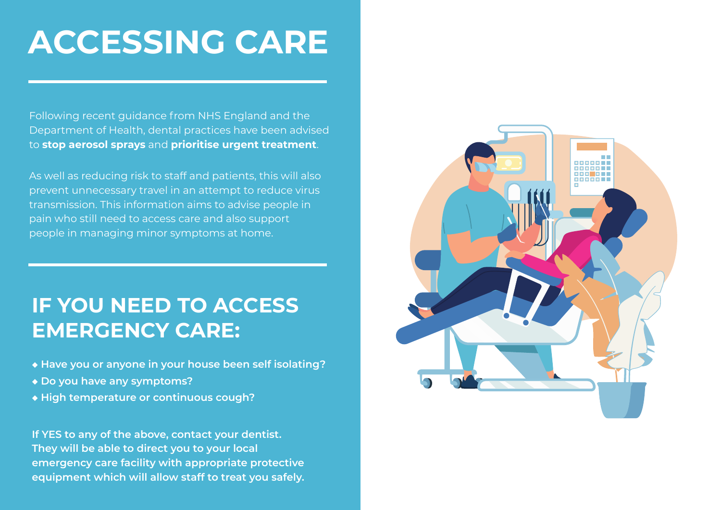# **ACCESSING CARE**

Following recent guidance from NHS England and the Department of Health, dental practices have been advised to **stop aerosol sprays** and **prioritise urgent treatment**.

As well as reducing risk to staff and patients, this will also prevent unnecessary travel in an attempt to reduce virus transmission. This information aims to advise people in pain who still need to access care and also support people in managing minor symptoms at home.

## **IF YOU NEED TO ACCESS EMERGENCY CARE:**

- **◆ Have you or anyone in your house been self isolating?**
- **◆ Do you have any symptoms?**
- **◆ High temperature or continuous cough?**

**If YES to any of the above, contact your dentist. They will be able to direct you to your local emergency care facility with appropriate protective equipment which will allow staff to treat you safely.**

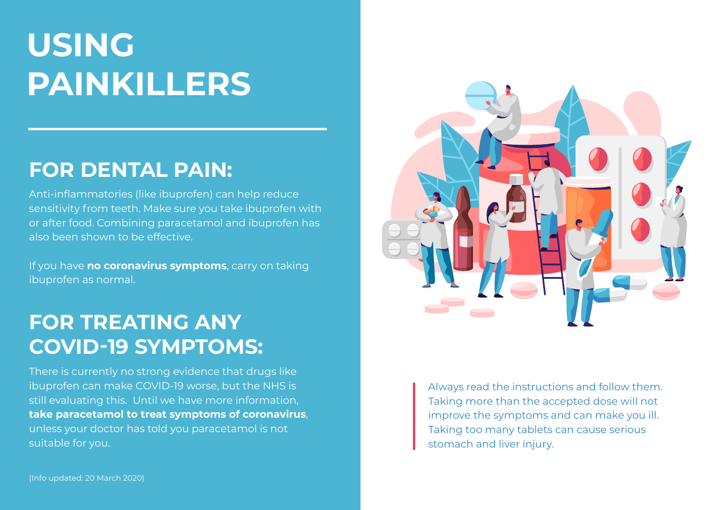# **USING PAINKILLERS**

#### **FOR DENTAL PAIN:**

Anti-inflammatories (like ibuprofen) can help reduce sensitivity from teeth. Make sure you take ibuprofen with or after food. Combining paracetamol and ibuprofen has also been shown to be effective.

If you have **no coronavirus symptoms**, carry on taking ibuprofen as normal.

## **FOR TREATING ANY COVID-19 SYMPTOMS:**

There is currently no strong evidence that drugs like ibuprofen can make COVID-19 worse, but the NHS is still evaluating this. Until we have more information, **take paracetamol to treat symptoms of coronavirus**, unless your doctor has told you paracetamol is not suitable for you.



Always read the instructions and follow them. Taking more than the accepted dose will not improve the symptoms and can make you ill. Taking too many tablets can cause serious stomach and liver injury.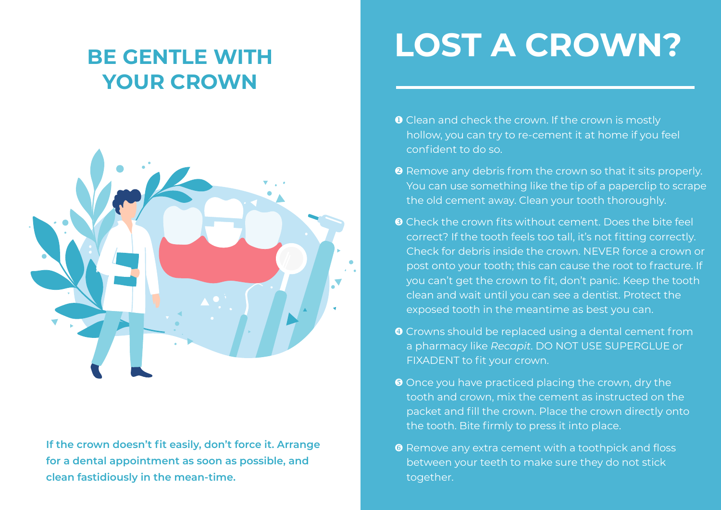## **BE GENTLE WITH YOUR CROWN**



**If the crown doesn't fit easily, don't force it. Arrange for a dental appointment as soon as possible, and clean fastidiously in the mean-time.**

# **LOST A CROWN?**

- **O** Clean and check the crown. If the crown is mostly hollow, you can try to re-cement it at home if you feel confident to do so.
- **8** Remove any debris from the crown so that it sits properly. You can use something like the tip of a paperclip to scrape the old cement away. Clean your tooth thoroughly.
- **8** Check the crown fits without cement. Does the bite feel correct? If the tooth feels too tall, it's not fitting correctly. Check for debris inside the crown. NEVER force a crown or post onto your tooth; this can cause the root to fracture. If you can't get the crown to fit, don't panic. Keep the tooth clean and wait until you can see a dentist. Protect the exposed tooth in the meantime as best you can.
- Crowns should be replaced using a dental cement from a pharmacy like *Recapit*. DO NOT USE SUPERGLUE or FIXADENT to fit your crown.
- **O** Once you have practiced placing the crown, dry the tooth and crown, mix the cement as instructed on the packet and fill the crown. Place the crown directly onto the tooth. Bite firmly to press it into place.
- **O** Remove any extra cement with a toothpick and floss between your teeth to make sure they do not stick together.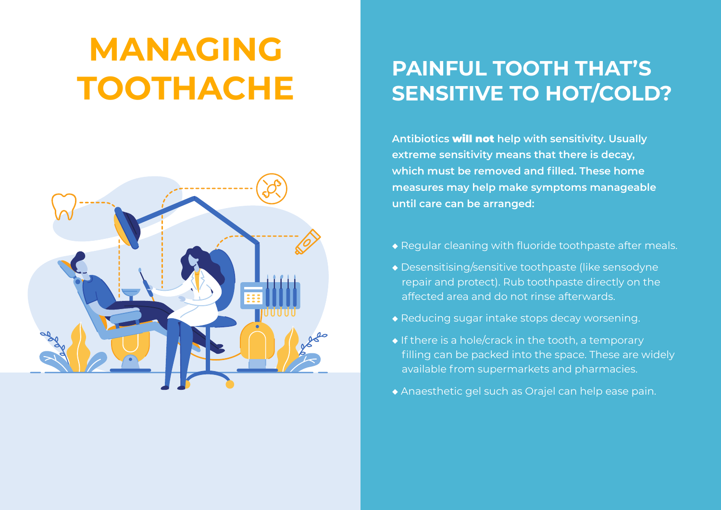# **MANAGING TOOTHACHE**



## **PAINFUL TOOTH THAT'S SENSITIVE TO HOT/COLD?**

**Antibiotics** will not **help with sensitivity. Usually extreme sensitivity means that there is decay, which must be removed and filled. These home measures may help make symptoms manageable until care can be arranged:** 

- ◆ Regular cleaning with fluoride toothpaste after meals.
- ◆ Desensitising/sensitive toothpaste (like sensodyne repair and protect). Rub toothpaste directly on the affected area and do not rinse afterwards.
- ◆ Reducing sugar intake stops decay worsening.
- ◆ If there is a hole/crack in the tooth, a temporary filling can be packed into the space. These are widely available from supermarkets and pharmacies.
- ◆ Anaesthetic gel such as Orajel can help ease pain.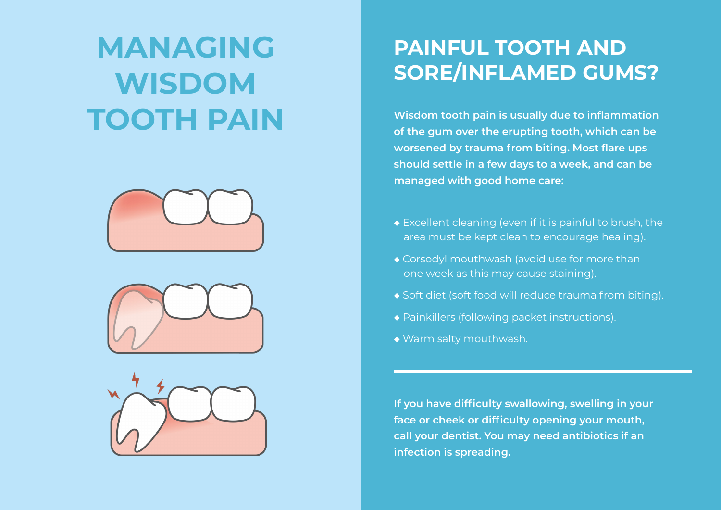# **MANAGING WISDOM TOOTH PAIN**







## **PAINFUL TOOTH AND SORE/INFLAMED GUMS?**

**Wisdom tooth pain is usually due to inflammation of the gum over the erupting tooth, which can be worsened by trauma from biting. Most flare ups should settle in a few days to a week, and can be managed with good home care:**

- ◆ Excellent cleaning (even if it is painful to brush, the area must be kept clean to encourage healing).
- ◆ Corsodyl mouthwash (avoid use for more than one week as this may cause staining).
- ◆ Soft diet (soft food will reduce trauma from biting).
- ◆ Painkillers (following packet instructions).
- ◆ Warm salty mouthwash.

**If you have difficulty swallowing, swelling in your face or cheek or difficulty opening your mouth, call your dentist. You may need antibiotics if an infection is spreading.**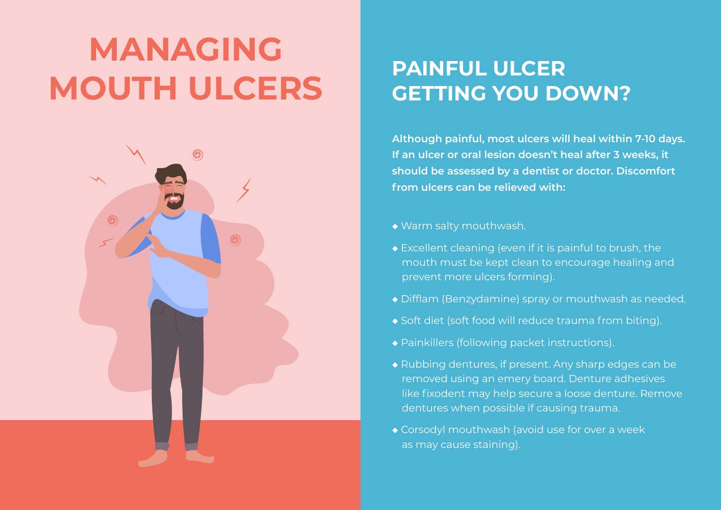# **MANAGING MOUTH ULCERS**



## **PAINFUL ULCER GETTING YOU DOWN?**

**Although painful, most ulcers will heal within 7-10 days. If an ulcer or oral lesion doesn't heal after 3 weeks, it should be assessed by a dentist or doctor. Discomfort from ulcers can be relieved with:**

- ◆ Warm salty mouthwash.
- ◆ Excellent cleaning (even if it is painful to brush, the mouth must be kept clean to encourage healing and prevent more ulcers forming).
- ◆ Difflam (Benzydamine) spray or mouthwash as needed.
- ◆ Soft diet (soft food will reduce trauma from biting).
- ◆ Painkillers (following packet instructions).
- ◆ Rubbing dentures, if present. Any sharp edges can be removed using an emery board. Denture adhesives like fixodent may help secure a loose denture. Remove dentures when possible if causing trauma.
- ◆ Corsodyl mouthwash (avoid use for over a week as may cause staining).